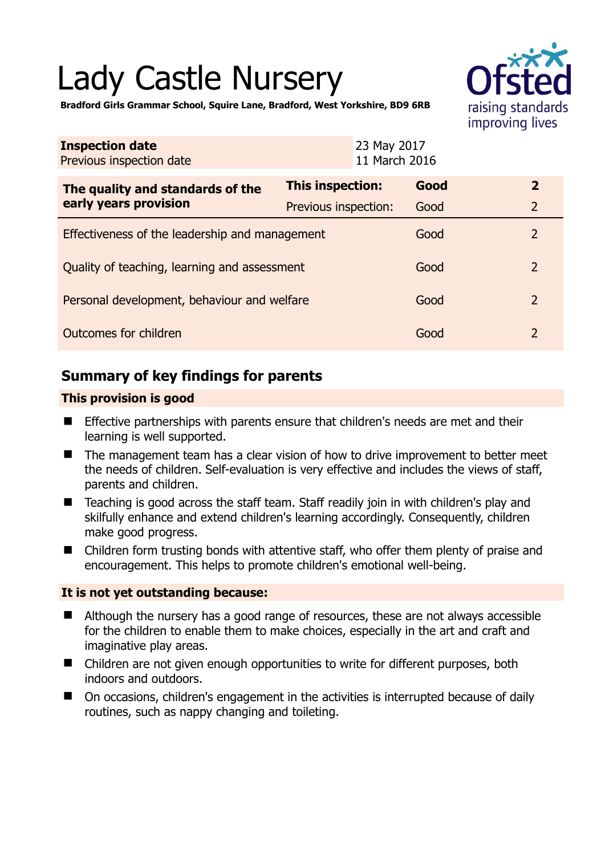# Lady Castle Nursery



**Bradford Girls Grammar School, Squire Lane, Bradford, West Yorkshire, BD9 6RB** 

| <b>Inspection date</b><br>Previous inspection date        | 23 May 2017<br>11 March 2016 |      |                |
|-----------------------------------------------------------|------------------------------|------|----------------|
| The quality and standards of the<br>early years provision | This inspection:             | Good | $\mathbf{2}$   |
|                                                           | <b>Previous inspection:</b>  | Good | $\overline{2}$ |
| Effectiveness of the leadership and management            |                              | Good | $\overline{2}$ |
| Quality of teaching, learning and assessment              |                              | Good | $\overline{2}$ |
| Personal development, behaviour and welfare               |                              | Good | $\overline{2}$ |
| Outcomes for children                                     |                              | Good | 2              |

# **Summary of key findings for parents**

## **This provision is good**

- **Effective partnerships with parents ensure that children's needs are met and their** learning is well supported.
- The management team has a clear vision of how to drive improvement to better meet the needs of children. Self-evaluation is very effective and includes the views of staff, parents and children.
- Teaching is good across the staff team. Staff readily join in with children's play and skilfully enhance and extend children's learning accordingly. Consequently, children make good progress.
- Children form trusting bonds with attentive staff, who offer them plenty of praise and encouragement. This helps to promote children's emotional well-being.

#### **It is not yet outstanding because:**

- Although the nursery has a good range of resources, these are not always accessible for the children to enable them to make choices, especially in the art and craft and imaginative play areas.
- Children are not given enough opportunities to write for different purposes, both indoors and outdoors.
- On occasions, children's engagement in the activities is interrupted because of daily routines, such as nappy changing and toileting.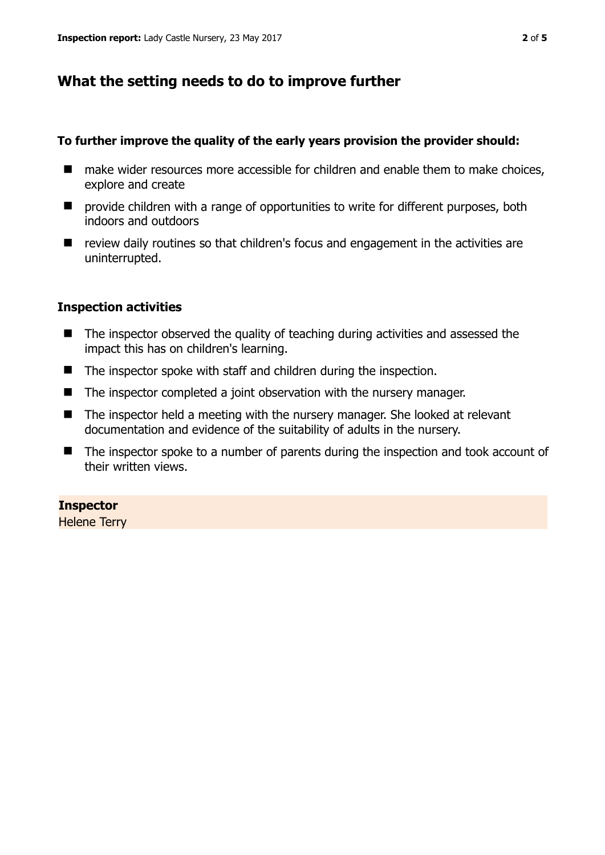## **What the setting needs to do to improve further**

#### **To further improve the quality of the early years provision the provider should:**

- make wider resources more accessible for children and enable them to make choices, explore and create
- $\blacksquare$  provide children with a range of opportunities to write for different purposes, both indoors and outdoors
- review daily routines so that children's focus and engagement in the activities are uninterrupted.

#### **Inspection activities**

- The inspector observed the quality of teaching during activities and assessed the impact this has on children's learning.
- The inspector spoke with staff and children during the inspection.
- The inspector completed a joint observation with the nursery manager.
- The inspector held a meeting with the nursery manager. She looked at relevant documentation and evidence of the suitability of adults in the nursery.
- The inspector spoke to a number of parents during the inspection and took account of their written views.

#### **Inspector**

Helene Terry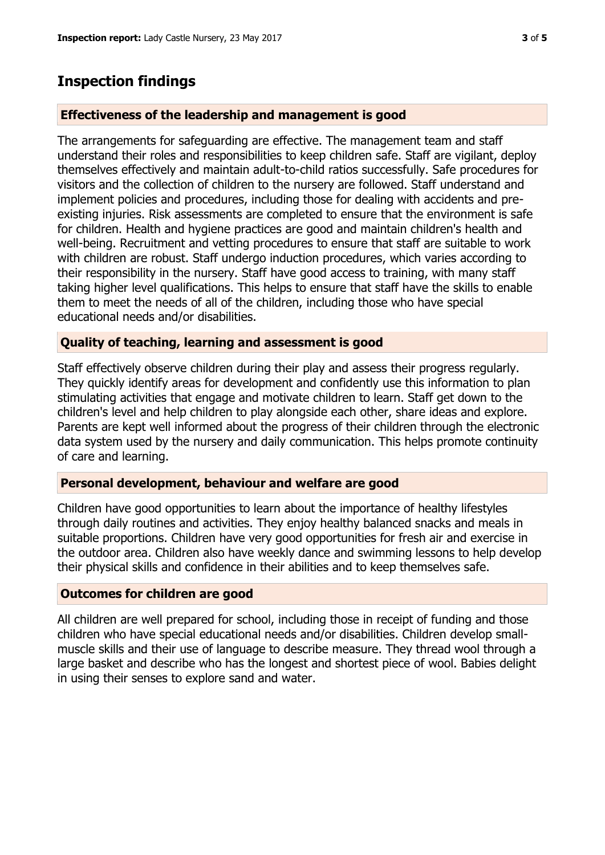# **Inspection findings**

#### **Effectiveness of the leadership and management is good**

The arrangements for safeguarding are effective. The management team and staff understand their roles and responsibilities to keep children safe. Staff are vigilant, deploy themselves effectively and maintain adult-to-child ratios successfully. Safe procedures for visitors and the collection of children to the nursery are followed. Staff understand and implement policies and procedures, including those for dealing with accidents and preexisting injuries. Risk assessments are completed to ensure that the environment is safe for children. Health and hygiene practices are good and maintain children's health and well-being. Recruitment and vetting procedures to ensure that staff are suitable to work with children are robust. Staff undergo induction procedures, which varies according to their responsibility in the nursery. Staff have good access to training, with many staff taking higher level qualifications. This helps to ensure that staff have the skills to enable them to meet the needs of all of the children, including those who have special educational needs and/or disabilities.

## **Quality of teaching, learning and assessment is good**

Staff effectively observe children during their play and assess their progress regularly. They quickly identify areas for development and confidently use this information to plan stimulating activities that engage and motivate children to learn. Staff get down to the children's level and help children to play alongside each other, share ideas and explore. Parents are kept well informed about the progress of their children through the electronic data system used by the nursery and daily communication. This helps promote continuity of care and learning.

## **Personal development, behaviour and welfare are good**

Children have good opportunities to learn about the importance of healthy lifestyles through daily routines and activities. They enjoy healthy balanced snacks and meals in suitable proportions. Children have very good opportunities for fresh air and exercise in the outdoor area. Children also have weekly dance and swimming lessons to help develop their physical skills and confidence in their abilities and to keep themselves safe.

#### **Outcomes for children are good**

All children are well prepared for school, including those in receipt of funding and those children who have special educational needs and/or disabilities. Children develop smallmuscle skills and their use of language to describe measure. They thread wool through a large basket and describe who has the longest and shortest piece of wool. Babies delight in using their senses to explore sand and water.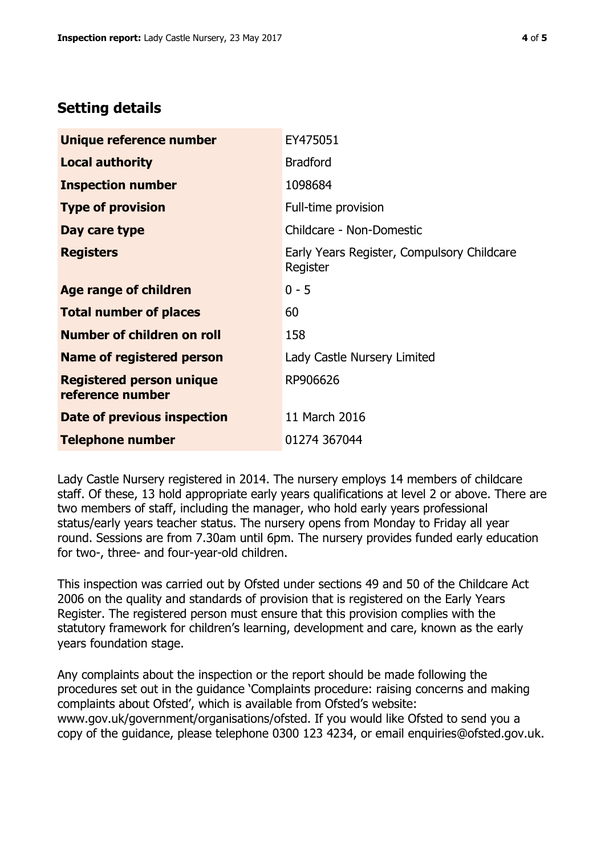## **Setting details**

| Unique reference number                             | EY475051                                               |  |
|-----------------------------------------------------|--------------------------------------------------------|--|
| <b>Local authority</b>                              | <b>Bradford</b>                                        |  |
| <b>Inspection number</b>                            | 1098684                                                |  |
| <b>Type of provision</b>                            | Full-time provision                                    |  |
| Day care type                                       | Childcare - Non-Domestic                               |  |
| <b>Registers</b>                                    | Early Years Register, Compulsory Childcare<br>Register |  |
| Age range of children                               | $0 - 5$                                                |  |
| <b>Total number of places</b>                       | 60                                                     |  |
| Number of children on roll                          | 158                                                    |  |
| Name of registered person                           | Lady Castle Nursery Limited                            |  |
| <b>Registered person unique</b><br>reference number | RP906626                                               |  |
| Date of previous inspection                         | 11 March 2016                                          |  |
| <b>Telephone number</b>                             | 01274 367044                                           |  |

Lady Castle Nursery registered in 2014. The nursery employs 14 members of childcare staff. Of these, 13 hold appropriate early years qualifications at level 2 or above. There are two members of staff, including the manager, who hold early years professional status/early years teacher status. The nursery opens from Monday to Friday all year round. Sessions are from 7.30am until 6pm. The nursery provides funded early education for two-, three- and four-year-old children.

This inspection was carried out by Ofsted under sections 49 and 50 of the Childcare Act 2006 on the quality and standards of provision that is registered on the Early Years Register. The registered person must ensure that this provision complies with the statutory framework for children's learning, development and care, known as the early years foundation stage.

Any complaints about the inspection or the report should be made following the procedures set out in the guidance 'Complaints procedure: raising concerns and making complaints about Ofsted', which is available from Ofsted's website: www.gov.uk/government/organisations/ofsted. If you would like Ofsted to send you a copy of the guidance, please telephone 0300 123 4234, or email enquiries@ofsted.gov.uk.